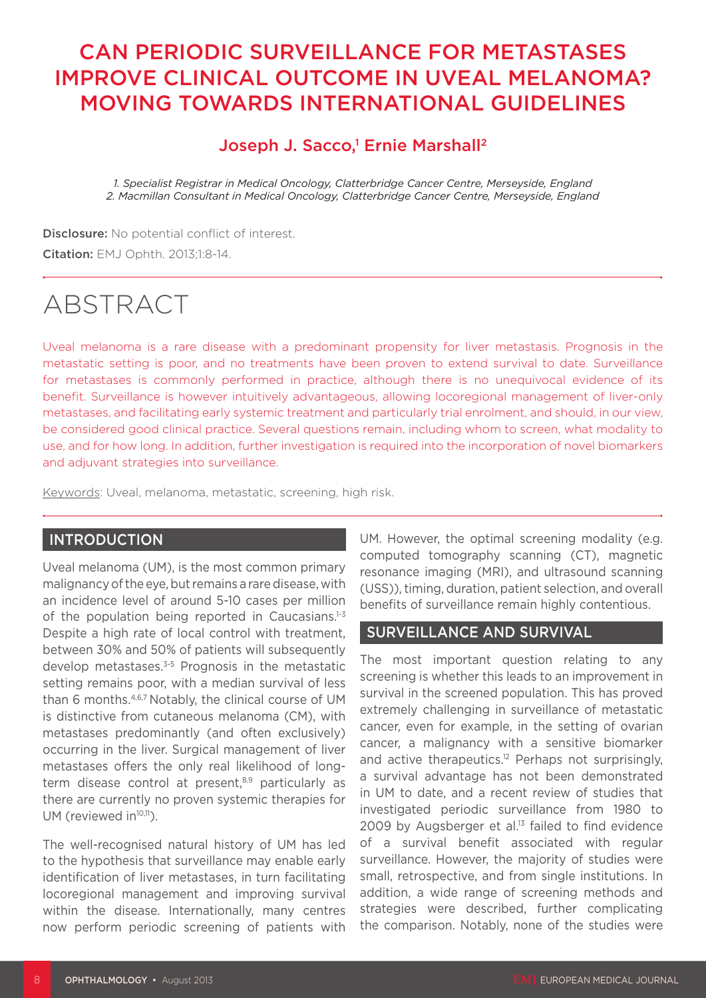# CAN PERIODIC SURVEILLANCE FOR METASTASES IMPROVE CLINICAL OUTCOME IN UVEAL MELANOMA? MOVING TOWARDS INTERNATIONAL GUIDELINES

# Joseph J. Sacco,<sup>1</sup> Ernie Marshall<sup>2</sup>

*1. Specialist Registrar in Medical Oncology, Clatterbridge Cancer Centre, Merseyside, England 2. Macmillan Consultant in Medical Oncology, Clatterbridge Cancer Centre, Merseyside, England*

Disclosure: No potential conflict of interest. Citation: EMJ Ophth. 2013;1:8-14.

# ABSTRACT

Uveal melanoma is a rare disease with a predominant propensity for liver metastasis. Prognosis in the metastatic setting is poor, and no treatments have been proven to extend survival to date. Surveillance for metastases is commonly performed in practice, although there is no unequivocal evidence of its benefit. Surveillance is however intuitively advantageous, allowing locoregional management of liver-only metastases, and facilitating early systemic treatment and particularly trial enrolment, and should, in our view, be considered good clinical practice. Several questions remain, including whom to screen, what modality to use, and for how long. In addition, further investigation is required into the incorporation of novel biomarkers and adjuvant strategies into surveillance.

Keywords: Uveal, melanoma, metastatic, screening, high risk.

# **INTRODUCTION**

Uveal melanoma (UM), is the most common primary malignancy of the eye, but remains a rare disease, with an incidence level of around 5-10 cases per million of the population being reported in Caucasians.<sup>1-3</sup> Despite a high rate of local control with treatment, between 30% and 50% of patients will subsequently develop metastases.<sup>3-5</sup> Prognosis in the metastatic setting remains poor, with a median survival of less than 6 months.4,6,7 Notably, the clinical course of UM is distinctive from cutaneous melanoma (CM), with metastases predominantly (and often exclusively) occurring in the liver. Surgical management of liver metastases offers the only real likelihood of longterm disease control at present,<sup>8,9</sup> particularly as there are currently no proven systemic therapies for UM (reviewed in<sup>10,11</sup>).

The well-recognised natural history of UM has led to the hypothesis that surveillance may enable early identification of liver metastases, in turn facilitating locoregional management and improving survival within the disease. Internationally, many centres now perform periodic screening of patients with

UM. However, the optimal screening modality (e.g. computed tomography scanning (CT), magnetic resonance imaging (MRI), and ultrasound scanning (USS)), timing, duration, patient selection, and overall benefits of surveillance remain highly contentious.

### SURVEILLANCE AND SURVIVAL

The most important question relating to any screening is whether this leads to an improvement in survival in the screened population. This has proved extremely challenging in surveillance of metastatic cancer, even for example, in the setting of ovarian cancer, a malignancy with a sensitive biomarker and active therapeutics.<sup>12</sup> Perhaps not surprisingly, a survival advantage has not been demonstrated in UM to date, and a recent review of studies that investigated periodic surveillance from 1980 to 2009 by Augsberger et al. $13$  failed to find evidence of a survival benefit associated with regular surveillance. However, the majority of studies were small, retrospective, and from single institutions. In addition, a wide range of screening methods and strategies were described, further complicating the comparison. Notably, none of the studies were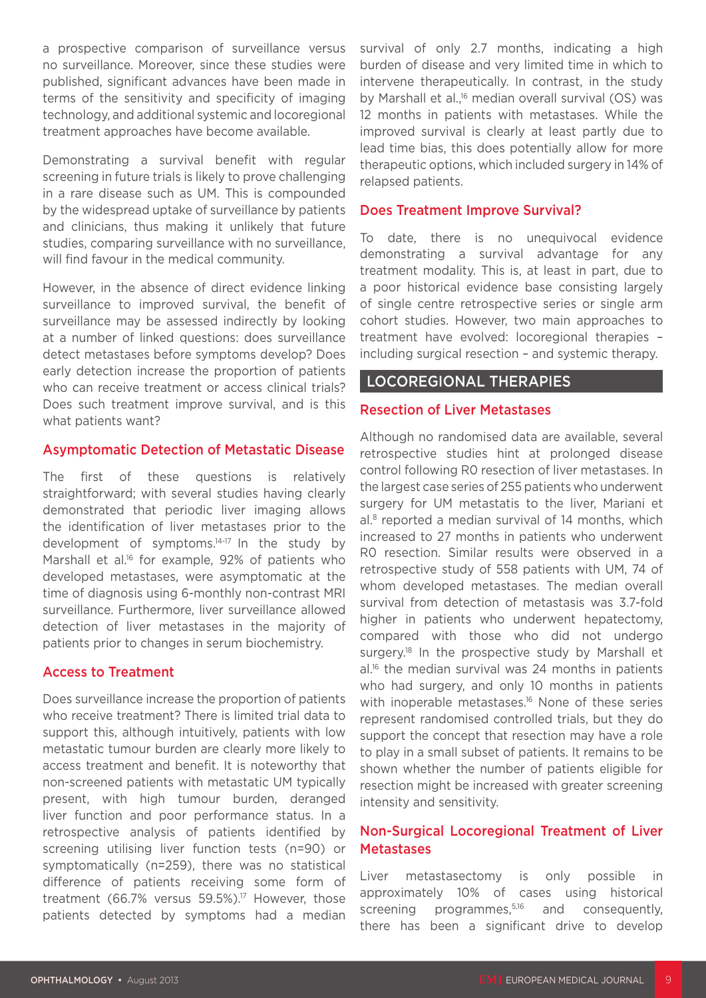a prospective comparison of surveillance versus no surveillance. Moreover, since these studies were published, significant advances have been made in terms of the sensitivity and specificity of imaging technology, and additional systemic and locoregional treatment approaches have become available.

Demonstrating a survival benefit with regular screening in future trials is likely to prove challenging in a rare disease such as UM. This is compounded by the widespread uptake of surveillance by patients and clinicians, thus making it unlikely that future studies, comparing surveillance with no surveillance, will find favour in the medical community.

However, in the absence of direct evidence linking surveillance to improved survival, the benefit of surveillance may be assessed indirectly by looking at a number of linked questions: does surveillance detect metastases before symptoms develop? Does early detection increase the proportion of patients who can receive treatment or access clinical trials? Does such treatment improve survival, and is this what patients want?

#### Asymptomatic Detection of Metastatic Disease

The first of these questions is relatively straightforward; with several studies having clearly demonstrated that periodic liver imaging allows the identification of liver metastases prior to the development of symptoms.14-17 In the study by Marshall et al.<sup>16</sup> for example, 92% of patients who developed metastases, were asymptomatic at the time of diagnosis using 6-monthly non-contrast MRI surveillance. Furthermore, liver surveillance allowed detection of liver metastases in the majority of patients prior to changes in serum biochemistry.

#### Access to Treatment

Does surveillance increase the proportion of patients who receive treatment? There is limited trial data to support this, although intuitively, patients with low metastatic tumour burden are clearly more likely to access treatment and benefit. It is noteworthy that non-screened patients with metastatic UM typically present, with high tumour burden, deranged liver function and poor performance status. In a retrospective analysis of patients identified by screening utilising liver function tests (n=90) or symptomatically (n=259), there was no statistical difference of patients receiving some form of treatment (66.7% versus 59.5%).<sup>17</sup> However, those patients detected by symptoms had a median

survival of only 2.7 months, indicating a high burden of disease and very limited time in which to intervene therapeutically. In contrast, in the study by Marshall et al.<sup>16</sup> median overall survival (OS) was 12 months in patients with metastases. While the improved survival is clearly at least partly due to lead time bias, this does potentially allow for more therapeutic options, which included surgery in 14% of relapsed patients.

#### Does Treatment Improve Survival?

To date, there is no unequivocal evidence demonstrating a survival advantage for any treatment modality. This is, at least in part, due to a poor historical evidence base consisting largely of single centre retrospective series or single arm cohort studies. However, two main approaches to treatment have evolved: locoregional therapies – including surgical resection – and systemic therapy.

# LOCOREGIONAL THERAPIES

#### Resection of Liver Metastases

Although no randomised data are available, several retrospective studies hint at prolonged disease control following R0 resection of liver metastases. In the largest case series of 255 patients who underwent surgery for UM metastatis to the liver, Mariani et al.8 reported a median survival of 14 months, which increased to 27 months in patients who underwent R0 resection. Similar results were observed in a retrospective study of 558 patients with UM, 74 of whom developed metastases. The median overall survival from detection of metastasis was 3.7-fold higher in patients who underwent hepatectomy, compared with those who did not undergo surgery.<sup>18</sup> In the prospective study by Marshall et al.<sup>16</sup> the median survival was 24 months in patients who had surgery, and only 10 months in patients with inoperable metastases.<sup>16</sup> None of these series represent randomised controlled trials, but they do support the concept that resection may have a role to play in a small subset of patients. It remains to be shown whether the number of patients eligible for resection might be increased with greater screening intensity and sensitivity.

### Non-Surgical Locoregional Treatment of Liver **Metastases**

Liver metastasectomy is only possible in approximately 10% of cases using historical screening programmes,<sup>5,16</sup> and consequently, there has been a significant drive to develop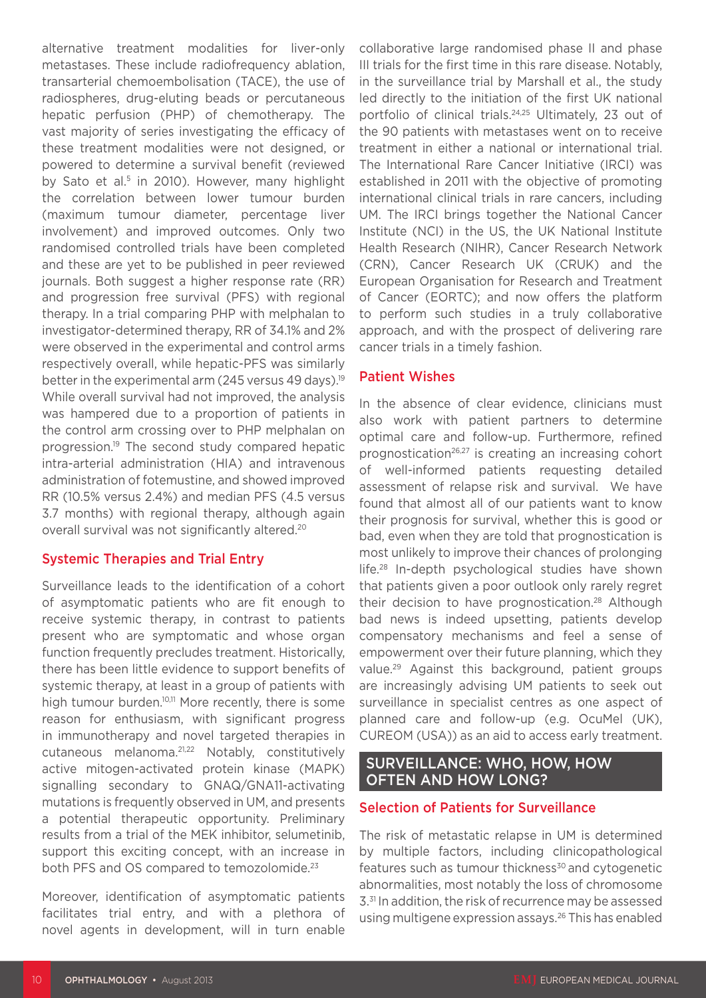alternative treatment modalities for liver-only metastases. These include radiofrequency ablation, transarterial chemoembolisation (TACE), the use of radiospheres, drug-eluting beads or percutaneous hepatic perfusion (PHP) of chemotherapy. The vast majority of series investigating the efficacy of these treatment modalities were not designed, or powered to determine a survival benefit (reviewed by Sato et al.<sup>5</sup> in 2010). However, many highlight the correlation between lower tumour burden (maximum tumour diameter, percentage liver involvement) and improved outcomes. Only two randomised controlled trials have been completed and these are yet to be published in peer reviewed journals. Both suggest a higher response rate (RR) and progression free survival (PFS) with regional therapy. In a trial comparing PHP with melphalan to investigator-determined therapy, RR of 34.1% and 2% were observed in the experimental and control arms respectively overall, while hepatic-PFS was similarly better in the experimental arm (245 versus 49 days).<sup>19</sup> While overall survival had not improved, the analysis was hampered due to a proportion of patients in the control arm crossing over to PHP melphalan on progression.<sup>19</sup> The second study compared hepatic intra-arterial administration (HIA) and intravenous administration of fotemustine, and showed improved RR (10.5% versus 2.4%) and median PFS (4.5 versus 3.7 months) with regional therapy, although again overall survival was not significantly altered.20

# Systemic Therapies and Trial Entry

Surveillance leads to the identification of a cohort of asymptomatic patients who are fit enough to receive systemic therapy, in contrast to patients present who are symptomatic and whose organ function frequently precludes treatment. Historically, there has been little evidence to support benefits of systemic therapy, at least in a group of patients with high tumour burden.<sup>10,11</sup> More recently, there is some reason for enthusiasm, with significant progress in immunotherapy and novel targeted therapies in cutaneous melanoma.21,22 Notably, constitutively active mitogen-activated protein kinase (MAPK) signalling secondary to GNAQ/GNA11-activating mutations is frequently observed in UM, and presents a potential therapeutic opportunity. Preliminary results from a trial of the MEK inhibitor, selumetinib, support this exciting concept, with an increase in both PFS and OS compared to temozolomide.<sup>23</sup>

Moreover, identification of asymptomatic patients facilitates trial entry, and with a plethora of novel agents in development, will in turn enable

collaborative large randomised phase II and phase III trials for the first time in this rare disease. Notably, in the surveillance trial by Marshall et al., the study led directly to the initiation of the first UK national portfolio of clinical trials.24,25 Ultimately, 23 out of the 90 patients with metastases went on to receive treatment in either a national or international trial. The International Rare Cancer Initiative (IRCI) was established in 2011 with the objective of promoting international clinical trials in rare cancers, including UM. The IRCI brings together the National Cancer Institute (NCI) in the US, the UK National Institute Health Research (NIHR), Cancer Research Network (CRN), Cancer Research UK (CRUK) and the European Organisation for Research and Treatment of Cancer (EORTC); and now offers the platform to perform such studies in a truly collaborative approach, and with the prospect of delivering rare cancer trials in a timely fashion.

### Patient Wishes

In the absence of clear evidence, clinicians must also work with patient partners to determine optimal care and follow-up. Furthermore, refined prognostication26,27 is creating an increasing cohort of well-informed patients requesting detailed assessment of relapse risk and survival. We have found that almost all of our patients want to know their prognosis for survival, whether this is good or bad, even when they are told that prognostication is most unlikely to improve their chances of prolonging life.28 In-depth psychological studies have shown that patients given a poor outlook only rarely regret their decision to have prognostication.<sup>28</sup> Although bad news is indeed upsetting, patients develop compensatory mechanisms and feel a sense of empowerment over their future planning, which they value.29 Against this background, patient groups are increasingly advising UM patients to seek out surveillance in specialist centres as one aspect of planned care and follow-up (e.g. OcuMel (UK), CUREOM (USA)) as an aid to access early treatment.

# SURVEILLANCE: WHO, HOW, HOW OFTEN AND HOW LONG?

# Selection of Patients for Surveillance

The risk of metastatic relapse in UM is determined by multiple factors, including clinicopathological features such as tumour thickness<sup>30</sup> and cytogenetic abnormalities, most notably the loss of chromosome 3.<sup>31</sup> In addition, the risk of recurrence may be assessed using multigene expression assays.26 This has enabled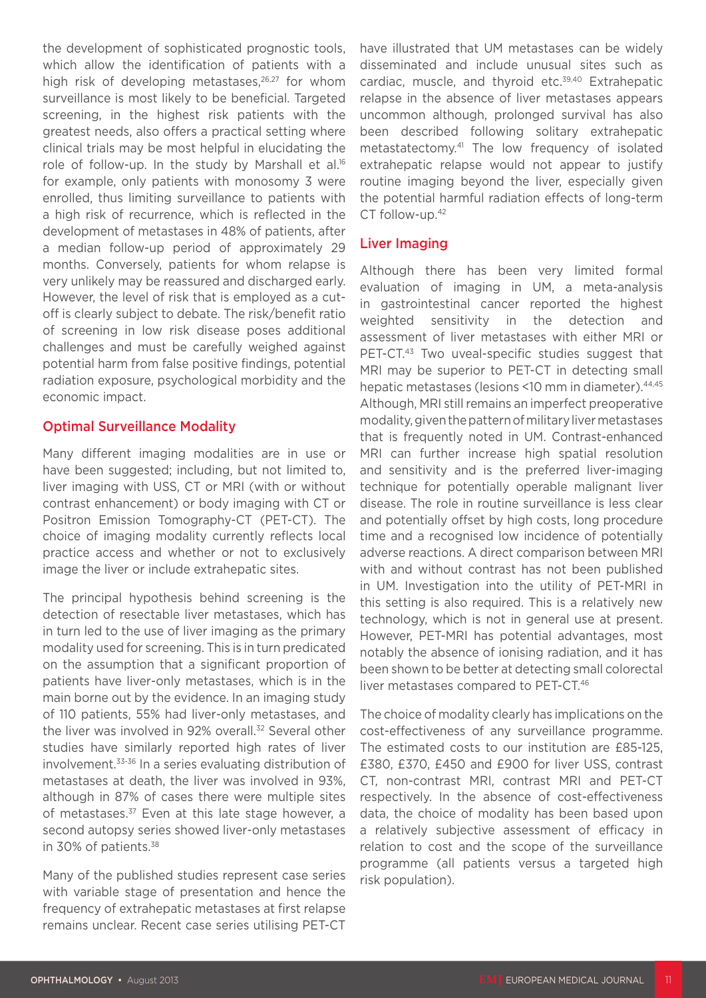the development of sophisticated prognostic tools, which allow the identification of patients with a high risk of developing metastases, $26,27$  for whom surveillance is most likely to be beneficial. Targeted screening, in the highest risk patients with the greatest needs, also offers a practical setting where clinical trials may be most helpful in elucidating the role of follow-up. In the study by Marshall et al.<sup>16</sup> for example, only patients with monosomy 3 were enrolled, thus limiting surveillance to patients with a high risk of recurrence, which is reflected in the development of metastases in 48% of patients, after a median follow-up period of approximately 29 months. Conversely, patients for whom relapse is very unlikely may be reassured and discharged early. However, the level of risk that is employed as a cutoff is clearly subject to debate. The risk/benefit ratio of screening in low risk disease poses additional challenges and must be carefully weighed against potential harm from false positive findings, potential radiation exposure, psychological morbidity and the economic impact.

### Optimal Surveillance Modality

Many different imaging modalities are in use or have been suggested; including, but not limited to, liver imaging with USS, CT or MRI (with or without contrast enhancement) or body imaging with CT or Positron Emission Tomography-CT (PET-CT). The choice of imaging modality currently reflects local practice access and whether or not to exclusively image the liver or include extrahepatic sites.

The principal hypothesis behind screening is the detection of resectable liver metastases, which has in turn led to the use of liver imaging as the primary modality used for screening. This is in turn predicated on the assumption that a significant proportion of patients have liver-only metastases, which is in the main borne out by the evidence. In an imaging study of 110 patients, 55% had liver-only metastases, and the liver was involved in 92% overall.<sup>32</sup> Several other studies have similarly reported high rates of liver involvement.33-36 In a series evaluating distribution of metastases at death, the liver was involved in 93%, although in 87% of cases there were multiple sites of metastases.<sup>37</sup> Even at this late stage however, a second autopsy series showed liver-only metastases in 30% of patients.38

Many of the published studies represent case series with variable stage of presentation and hence the frequency of extrahepatic metastases at first relapse remains unclear. Recent case series utilising PET-CT have illustrated that UM metastases can be widely disseminated and include unusual sites such as cardiac, muscle, and thyroid etc.<sup>39,40</sup> Extrahepatic relapse in the absence of liver metastases appears uncommon although, prolonged survival has also been described following solitary extrahepatic metastatectomy.41 The low frequency of isolated extrahepatic relapse would not appear to justify routine imaging beyond the liver, especially given the potential harmful radiation effects of long-term CT follow-up.42

#### Liver Imaging

Although there has been very limited formal evaluation of imaging in UM, a meta-analysis in gastrointestinal cancer reported the highest weighted sensitivity in the detection and assessment of liver metastases with either MRI or PET-CT.<sup>43</sup> Two uveal-specific studies suggest that MRI may be superior to PET-CT in detecting small hepatic metastases (lesions <10 mm in diameter). 44,45 Although, MRI still remains an imperfect preoperative modality, given the pattern of military liver metastases that is frequently noted in UM. Contrast-enhanced MRI can further increase high spatial resolution and sensitivity and is the preferred liver-imaging technique for potentially operable malignant liver disease. The role in routine surveillance is less clear and potentially offset by high costs, long procedure time and a recognised low incidence of potentially adverse reactions. A direct comparison between MRI with and without contrast has not been published in UM. Investigation into the utility of PET-MRI in this setting is also required. This is a relatively new technology, which is not in general use at present. However, PET-MRI has potential advantages, most notably the absence of ionising radiation, and it has been shown to be better at detecting small colorectal liver metastases compared to PET-CT.46

The choice of modality clearly has implications on the cost-effectiveness of any surveillance programme. The estimated costs to our institution are £85-125, £380, £370, £450 and £900 for liver USS, contrast CT, non-contrast MRI, contrast MRI and PET-CT respectively. In the absence of cost-effectiveness data, the choice of modality has been based upon a relatively subjective assessment of efficacy in relation to cost and the scope of the surveillance programme (all patients versus a targeted high risk population).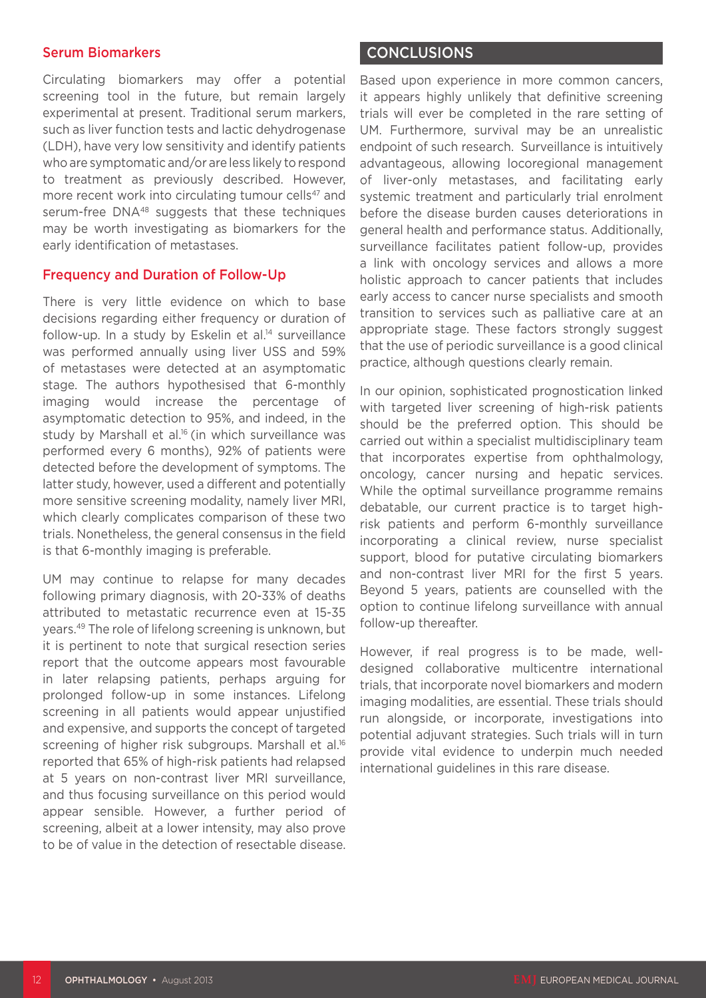#### Serum Biomarkers

Circulating biomarkers may offer a potential screening tool in the future, but remain largely experimental at present. Traditional serum markers, such as liver function tests and lactic dehydrogenase (LDH), have very low sensitivity and identify patients who are symptomatic and/or are less likely to respond to treatment as previously described. However, more recent work into circulating tumour cells<sup>47</sup> and serum-free DNA<sup>48</sup> suggests that these techniques may be worth investigating as biomarkers for the early identification of metastases.

#### Frequency and Duration of Follow-Up

There is very little evidence on which to base decisions regarding either frequency or duration of follow-up. In a study by Eskelin et al.<sup>14</sup> surveillance was performed annually using liver USS and 59% of metastases were detected at an asymptomatic stage. The authors hypothesised that 6-monthly imaging would increase the percentage of asymptomatic detection to 95%, and indeed, in the study by Marshall et al.<sup>16</sup> (in which surveillance was performed every 6 months), 92% of patients were detected before the development of symptoms. The latter study, however, used a different and potentially more sensitive screening modality, namely liver MRI, which clearly complicates comparison of these two trials. Nonetheless, the general consensus in the field is that 6-monthly imaging is preferable.

UM may continue to relapse for many decades following primary diagnosis, with 20-33% of deaths attributed to metastatic recurrence even at 15-35 years.49 The role of lifelong screening is unknown, but it is pertinent to note that surgical resection series report that the outcome appears most favourable in later relapsing patients, perhaps arguing for prolonged follow-up in some instances. Lifelong screening in all patients would appear unjustified and expensive, and supports the concept of targeted screening of higher risk subgroups. Marshall et al.<sup>16</sup> reported that 65% of high-risk patients had relapsed at 5 years on non-contrast liver MRI surveillance, and thus focusing surveillance on this period would appear sensible. However, a further period of screening, albeit at a lower intensity, may also prove to be of value in the detection of resectable disease.

#### CONCLUSIONS

Based upon experience in more common cancers, it appears highly unlikely that definitive screening trials will ever be completed in the rare setting of UM. Furthermore, survival may be an unrealistic endpoint of such research. Surveillance is intuitively advantageous, allowing locoregional management of liver-only metastases, and facilitating early systemic treatment and particularly trial enrolment before the disease burden causes deteriorations in general health and performance status. Additionally, surveillance facilitates patient follow-up, provides a link with oncology services and allows a more holistic approach to cancer patients that includes early access to cancer nurse specialists and smooth transition to services such as palliative care at an appropriate stage. These factors strongly suggest that the use of periodic surveillance is a good clinical practice, although questions clearly remain.

In our opinion, sophisticated prognostication linked with targeted liver screening of high-risk patients should be the preferred option. This should be carried out within a specialist multidisciplinary team that incorporates expertise from ophthalmology, oncology, cancer nursing and hepatic services. While the optimal surveillance programme remains debatable, our current practice is to target highrisk patients and perform 6-monthly surveillance incorporating a clinical review, nurse specialist support, blood for putative circulating biomarkers and non-contrast liver MRI for the first 5 years. Beyond 5 years, patients are counselled with the option to continue lifelong surveillance with annual follow-up thereafter.

However, if real progress is to be made, welldesigned collaborative multicentre international trials, that incorporate novel biomarkers and modern imaging modalities, are essential. These trials should run alongside, or incorporate, investigations into potential adjuvant strategies. Such trials will in turn provide vital evidence to underpin much needed international guidelines in this rare disease.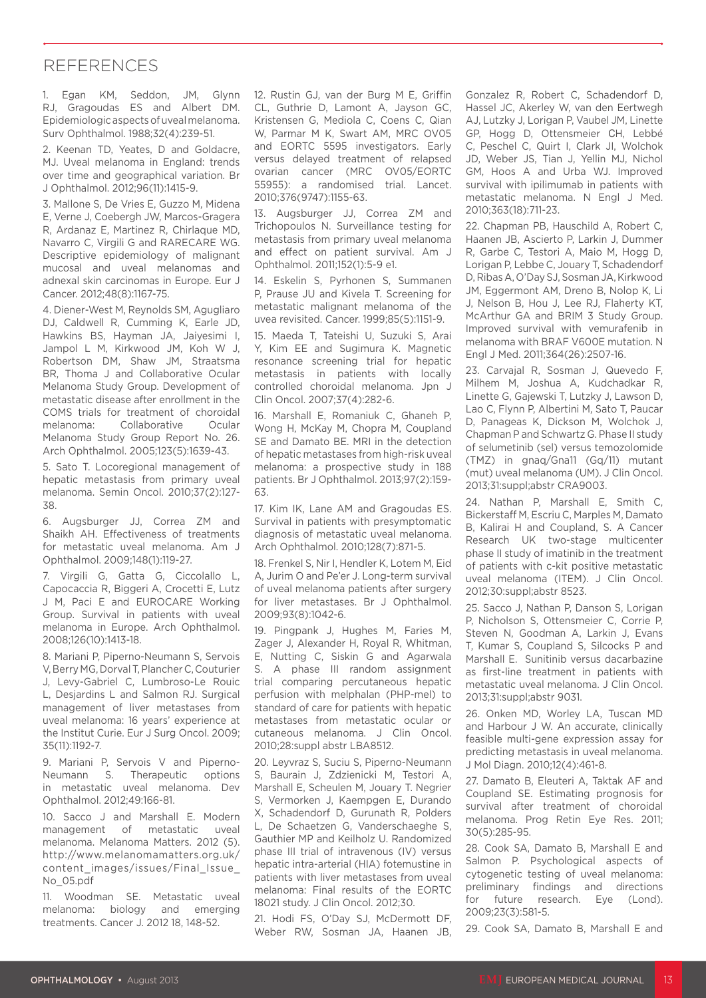# REFERENCES

1. Egan KM, Seddon, JM, Glynn RJ, Gragoudas ES and Albert DM. Epidemiologic aspects of uveal melanoma. Surv Ophthalmol. 1988;32(4):239-51.

2. Keenan TD, Yeates, D and Goldacre, MJ. Uveal melanoma in England: trends over time and geographical variation. Br J Ophthalmol. 2012;96(11):1415-9.

3. Mallone S, De Vries E, Guzzo M, Midena E, Verne J, Coebergh JW, Marcos-Gragera R, Ardanaz E, Martinez R, Chirlaque MD, Navarro C, Virgili G and RARECARE WG. Descriptive epidemiology of malignant mucosal and uveal melanomas and adnexal skin carcinomas in Europe. Eur J Cancer. 2012;48(8):1167-75.

4. Diener-West M, Reynolds SM, Agugliaro DJ, Caldwell R, Cumming K, Earle JD, Hawkins BS, Hayman JA, Jaiyesimi I, Jampol L M, Kirkwood JM, Koh W J, Robertson DM, Shaw JM, Straatsma BR, Thoma J and Collaborative Ocular Melanoma Study Group. Development of metastatic disease after enrollment in the COMS trials for treatment of choroidal melanoma: Collaborative Ocular Melanoma Study Group Report No. 26. Arch Ophthalmol. 2005;123(5):1639-43.

5. Sato T. Locoregional management of hepatic metastasis from primary uveal melanoma. Semin Oncol. 2010;37(2):127- 38.

6. Augsburger JJ, Correa ZM and Shaikh AH. Effectiveness of treatments for metastatic uveal melanoma. Am J Ophthalmol. 2009;148(1):119-27.

7. Virgili G, Gatta G, Ciccolallo L, Capocaccia R, Biggeri A, Crocetti E, Lutz J M, Paci E and EUROCARE Working Group. Survival in patients with uveal melanoma in Europe. Arch Ophthalmol. 2008;126(10):1413-18.

8. Mariani P, Piperno-Neumann S, Servois V, Berry MG, Dorval T, Plancher C, Couturier J, Levy-Gabriel C, Lumbroso-Le Rouic L, Desjardins L and Salmon RJ. Surgical management of liver metastases from uveal melanoma: 16 years' experience at the Institut Curie. Eur J Surg Oncol. 2009; 35(11):1192-7.

9. Mariani P, Servois V and Piperno-Neumann S. Therapeutic options in metastatic uveal melanoma. Dev Ophthalmol. 2012;49:166-81.

10. Sacco J and Marshall E. Modern management of metastatic uveal melanoma. Melanoma Matters. 2012 (5). http://www.melanomamatters.org.uk/ content\_images/issues/Final\_Issue\_ No\_05.pdf

11. Woodman SE. Metastatic uveal melanoma: biology and emerging treatments. Cancer J. 2012 18, 148-52.

12. Rustin GJ, van der Burg M E, Griffin CL, Guthrie D, Lamont A, Jayson GC, Kristensen G, Mediola C, Coens C, Qian W, Parmar M K, Swart AM, MRC OV05 and EORTC 5595 investigators. Early versus delayed treatment of relapsed ovarian cancer (MRC OV05/EORTC 55955): a randomised trial. Lancet. 2010;376(9747):1155-63.

13. Augsburger JJ, Correa ZM and Trichopoulos N. Surveillance testing for metastasis from primary uveal melanoma and effect on patient survival. Am J Ophthalmol. 2011;152(1):5-9 e1.

14. Eskelin S, Pyrhonen S, Summanen P, Prause JU and Kivela T. Screening for metastatic malignant melanoma of the uvea revisited. Cancer. 1999;85(5):1151-9.

15. Maeda T, Tateishi U, Suzuki S, Arai Y, Kim EE and Sugimura K. Magnetic resonance screening trial for hepatic metastasis in patients with locally controlled choroidal melanoma. Jpn J Clin Oncol. 2007;37(4):282-6.

16. Marshall E, Romaniuk C, Ghaneh P, Wong H, McKay M, Chopra M, Coupland SE and Damato BE. MRI in the detection of hepatic metastases from high-risk uveal melanoma: a prospective study in 188 patients. Br J Ophthalmol. 2013;97(2):159- 63.

17. Kim IK, Lane AM and Gragoudas ES. Survival in patients with presymptomatic diagnosis of metastatic uveal melanoma. Arch Ophthalmol. 2010;128(7):871-5.

18. Frenkel S, Nir I, Hendler K, Lotem M, Eid A, Jurim O and Pe'er J. Long-term survival of uveal melanoma patients after surgery for liver metastases. Br J Ophthalmol. 2009;93(8):1042-6.

19. Pingpank J, Hughes M, Faries M, Zager J, Alexander H, Royal R, Whitman, E, Nutting C, Siskin G and Agarwala S. A phase III random assignment trial comparing percutaneous hepatic perfusion with melphalan (PHP-mel) to standard of care for patients with hepatic metastases from metastatic ocular or cutaneous melanoma. J Clin Oncol. 2010;28:suppl abstr LBA8512.

20. Leyvraz S, Suciu S, Piperno-Neumann S, Baurain J, Zdzienicki M, Testori A, Marshall E, Scheulen M, Jouary T. Negrier S, Vermorken J, Kaempgen E, Durando X, Schadendorf D, Gurunath R, Polders L, De Schaetzen G, Vanderschaeghe S, Gauthier MP and Keilholz U. Randomized phase III trial of intravenous (IV) versus hepatic intra-arterial (HIA) fotemustine in patients with liver metastases from uveal melanoma: Final results of the EORTC 18021 study. J Clin Oncol. 2012;30.

21. Hodi FS, O'Day SJ, McDermott DF, Weber RW, Sosman JA, Haanen JB, Gonzalez R, Robert C, Schadendorf D, Hassel JC, Akerley W, van den Eertwegh AJ, Lutzky J, Lorigan P, Vaubel JM, Linette GP, Hogg D, Ottensmeier CH, Lebbé C, Peschel C, Quirt I, Clark JI, Wolchok JD, Weber JS, Tian J, Yellin MJ, Nichol GM, Hoos A and Urba WJ. Improved survival with ipilimumab in patients with metastatic melanoma. N Engl J Med. 2010;363(18):711-23.

22. Chapman PB, Hauschild A, Robert C, Haanen JB, Ascierto P, Larkin J, Dummer R, Garbe C, Testori A, Maio M, Hogg D, Lorigan P, Lebbe C, Jouary T, Schadendorf D, Ribas A, O'Day SJ, Sosman JA, Kirkwood JM, Eggermont AM, Dreno B, Nolop K, Li J, Nelson B, Hou J, Lee RJ, Flaherty KT, McArthur GA and BRIM 3 Study Group. Improved survival with vemurafenib in melanoma with BRAF V600E mutation. N Engl J Med. 2011;364(26):2507-16.

23. Carvajal R, Sosman J, Quevedo F, Milhem M, Joshua A, Kudchadkar R, Linette G, Gajewski T, Lutzky J, Lawson D, Lao C, Flynn P, Albertini M, Sato T, Paucar D, Panageas K, Dickson M, Wolchok J, Chapman P and Schwartz G. Phase II study of selumetinib (sel) versus temozolomide (TMZ) in gnaq/Gna11 (Gq/11) mutant (mut) uveal melanoma (UM). J Clin Oncol. 2013;31:suppl;abstr CRA9003.

24. Nathan P, Marshall E, Smith C, Bickerstaff M, Escriu C, Marples M, Damato B, Kalirai H and Coupland, S. A Cancer Research UK two-stage multicenter phase II study of imatinib in the treatment of patients with c-kit positive metastatic uveal melanoma (ITEM). J Clin Oncol. 2012;30:suppl;abstr 8523.

25. Sacco J, Nathan P, Danson S, Lorigan P, Nicholson S, Ottensmeier C, Corrie P, Steven N, Goodman A, Larkin J, Evans T, Kumar S, Coupland S, Silcocks P and Marshall E. Sunitinib versus dacarbazine as first-line treatment in patients with metastatic uveal melanoma. J Clin Oncol. 2013;31:suppl;abstr 9031.

26. Onken MD, Worley LA, Tuscan MD and Harbour J W. An accurate, clinically feasible multi-gene expression assay for predicting metastasis in uveal melanoma. J Mol Diagn. 2010;12(4):461-8.

27. Damato B, Eleuteri A, Taktak AF and Coupland SE. Estimating prognosis for survival after treatment of choroidal melanoma. Prog Retin Eye Res. 2011; 30(5):285-95.

28. Cook SA, Damato B, Marshall E and Salmon P. Psychological aspects of cytogenetic testing of uveal melanoma: preliminary findings and directions for future research. Eye (Lond). 2009;23(3):581-5.

29. Cook SA, Damato B, Marshall E and